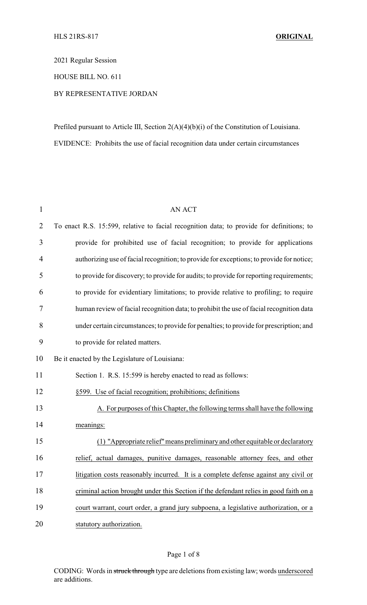2021 Regular Session

HOUSE BILL NO. 611

## BY REPRESENTATIVE JORDAN

Prefiled pursuant to Article III, Section 2(A)(4)(b)(i) of the Constitution of Louisiana. EVIDENCE: Prohibits the use of facial recognition data under certain circumstances

| $\mathbf{1}$   | <b>AN ACT</b>                                                                             |  |
|----------------|-------------------------------------------------------------------------------------------|--|
| $\overline{2}$ | To enact R.S. 15:599, relative to facial recognition data; to provide for definitions; to |  |
| 3              | provide for prohibited use of facial recognition; to provide for applications             |  |
| 4              | authorizing use of facial recognition; to provide for exceptions; to provide for notice;  |  |
| 5              | to provide for discovery; to provide for audits; to provide for reporting requirements;   |  |
| 6              | to provide for evidentiary limitations; to provide relative to profiling; to require      |  |
| 7              | human review of facial recognition data; to prohibit the use of facial recognition data   |  |
| 8              | under certain circumstances; to provide for penalties; to provide for prescription; and   |  |
| 9              | to provide for related matters.                                                           |  |
| 10             | Be it enacted by the Legislature of Louisiana:                                            |  |
| 11             | Section 1. R.S. 15:599 is hereby enacted to read as follows:                              |  |
| 12             | §599. Use of facial recognition; prohibitions; definitions                                |  |
| 13             | A. For purposes of this Chapter, the following terms shall have the following             |  |
| 14             | meanings:                                                                                 |  |
| 15             | (1) "Appropriate relief" means preliminary and other equitable or declaratory             |  |
| 16             | relief, actual damages, punitive damages, reasonable attorney fees, and other             |  |
| 17             | litigation costs reasonably incurred. It is a complete defense against any civil or       |  |
| 18             | criminal action brought under this Section if the defendant relies in good faith on a     |  |
| 19             | court warrant, court order, a grand jury subpoena, a legislative authorization, or a      |  |
| 20             | statutory authorization.                                                                  |  |

## Page 1 of 8

CODING: Words in struck through type are deletions from existing law; words underscored are additions.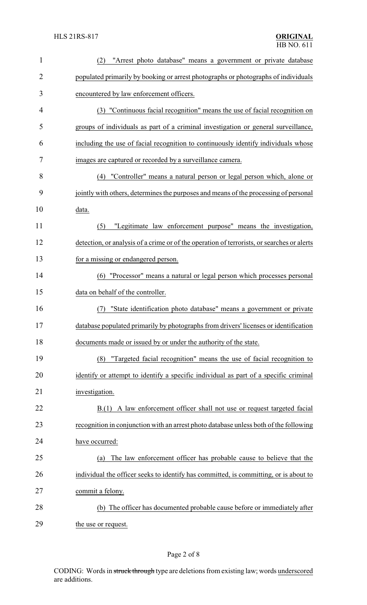| $\mathbf{1}$   | "Arrest photo database" means a government or private database<br>(2)                      |
|----------------|--------------------------------------------------------------------------------------------|
| $\overline{2}$ | populated primarily by booking or arrest photographs or photographs of individuals         |
| 3              | encountered by law enforcement officers.                                                   |
| 4              | (3) "Continuous facial recognition" means the use of facial recognition on                 |
| 5              | groups of individuals as part of a criminal investigation or general surveillance,         |
| 6              | including the use of facial recognition to continuously identify individuals whose         |
| 7              | images are captured or recorded by a surveillance camera.                                  |
| 8              | (4) "Controller" means a natural person or legal person which, alone or                    |
| 9              | jointly with others, determines the purposes and means of the processing of personal       |
| 10             | data.                                                                                      |
| 11             | "Legitimate law enforcement purpose" means the investigation,<br>(5)                       |
| 12             | detection, or analysis of a crime or of the operation of terrorists, or searches or alerts |
| 13             | for a missing or endangered person.                                                        |
| 14             | "Processor" means a natural or legal person which processes personal<br>(6)                |
| 15             | data on behalf of the controller.                                                          |
| 16             | "State identification photo database" means a government or private                        |
| 17             | database populated primarily by photographs from drivers' licenses or identification       |
| 18             | documents made or issued by or under the authority of the state.                           |
| 19             | "Targeted facial recognition" means the use of facial recognition to<br>(8)                |
| 20             | identify or attempt to identify a specific individual as part of a specific criminal       |
| 21             | investigation.                                                                             |
| 22             | B.(1) A law enforcement officer shall not use or request targeted facial                   |
| 23             | recognition in conjunction with an arrest photo database unless both of the following      |
| 24             | have occurred:                                                                             |
| 25             | The law enforcement officer has probable cause to believe that the<br>(a)                  |
| 26             | individual the officer seeks to identify has committed, is committing, or is about to      |
| 27             | commit a felony.                                                                           |
| 28             | (b) The officer has documented probable cause before or immediately after                  |
| 29             | the use or request.                                                                        |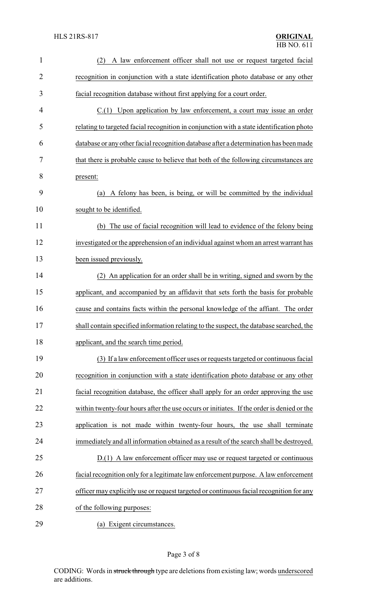| $\mathbf{1}$   | A law enforcement officer shall not use or request targeted facial<br>(2)                 |
|----------------|-------------------------------------------------------------------------------------------|
| $\overline{2}$ | recognition in conjunction with a state identification photo database or any other        |
| 3              | facial recognition database without first applying for a court order.                     |
| 4              | $C(1)$ Upon application by law enforcement, a court may issue an order                    |
| 5              | relating to targeted facial recognition in conjunction with a state identification photo  |
| 6              | database or any other facial recognition database after a determination has been made     |
| 7              | that there is probable cause to believe that both of the following circumstances are      |
| 8              | present:                                                                                  |
| 9              | (a) A felony has been, is being, or will be committed by the individual                   |
| 10             | sought to be identified.                                                                  |
| 11             | (b) The use of facial recognition will lead to evidence of the felony being               |
| 12             | investigated or the apprehension of an individual against whom an arrest warrant has      |
| 13             | been issued previously.                                                                   |
| 14             | (2) An application for an order shall be in writing, signed and sworn by the              |
| 15             | applicant, and accompanied by an affidavit that sets forth the basis for probable         |
| 16             | cause and contains facts within the personal knowledge of the affiant. The order          |
| 17             | shall contain specified information relating to the suspect, the database searched, the   |
| 18             | applicant, and the search time period.                                                    |
| 19             | (3) If a law enforcement officer uses or requests targeted or continuous facial           |
| 20             | recognition in conjunction with a state identification photo database or any other        |
| 21             | facial recognition database, the officer shall apply for an order approving the use       |
| 22             | within twenty-four hours after the use occurs or initiates. If the order is denied or the |
| 23             | application is not made within twenty-four hours, the use shall terminate                 |
| 24             | immediately and all information obtained as a result of the search shall be destroyed.    |
| 25             | D.(1) A law enforcement officer may use or request targeted or continuous                 |
| 26             | facial recognition only for a legitimate law enforcement purpose. A law enforcement       |
| 27             | officer may explicitly use or request targeted or continuous facial recognition for any   |
| 28             | of the following purposes:                                                                |
| 29             | (a) Exigent circumstances.                                                                |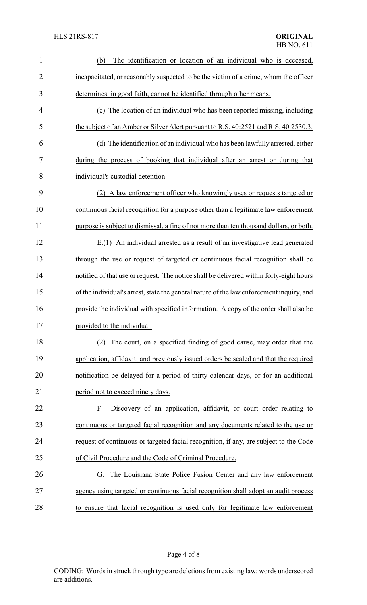| $\mathbf{1}$   | The identification or location of an individual who is deceased,<br>(b)                  |
|----------------|------------------------------------------------------------------------------------------|
| $\overline{2}$ | incapacitated, or reasonably suspected to be the victim of a crime, whom the officer     |
| 3              | determines, in good faith, cannot be identified through other means.                     |
| $\overline{4}$ | (c) The location of an individual who has been reported missing, including               |
| 5              | the subject of an Amber or Silver Alert pursuant to R.S. 40:2521 and R.S. 40:2530.3.     |
| 6              | (d) The identification of an individual who has been lawfully arrested, either           |
| 7              | during the process of booking that individual after an arrest or during that             |
| 8              | individual's custodial detention.                                                        |
| 9              | (2) A law enforcement officer who knowingly uses or requests targeted or                 |
| 10             | continuous facial recognition for a purpose other than a legitimate law enforcement      |
| 11             | purpose is subject to dismissal, a fine of not more than ten thousand dollars, or both.  |
| 12             | E.(1) An individual arrested as a result of an investigative lead generated              |
| 13             | through the use or request of targeted or continuous facial recognition shall be         |
| 14             | notified of that use or request. The notice shall be delivered within forty-eight hours  |
| 15             | of the individual's arrest, state the general nature of the law enforcement inquiry, and |
| 16             | provide the individual with specified information. A copy of the order shall also be     |
| 17             | provided to the individual.                                                              |
| 18             | (2) The court, on a specified finding of good cause, may order that the                  |
| 19             | application, affidavit, and previously issued orders be sealed and that the required     |
| 20             | notification be delayed for a period of thirty calendar days, or for an additional       |
| 21             | period not to exceed ninety days.                                                        |
| 22             | Discovery of an application, affidavit, or court order relating to<br>F.                 |
| 23             | continuous or targeted facial recognition and any documents related to the use or        |
| 24             | request of continuous or targeted facial recognition, if any, are subject to the Code    |
| 25             | of Civil Procedure and the Code of Criminal Procedure.                                   |
| 26             | The Louisiana State Police Fusion Center and any law enforcement<br>G.                   |
| 27             | agency using targeted or continuous facial recognition shall adopt an audit process      |
| 28             | to ensure that facial recognition is used only for legitimate law enforcement            |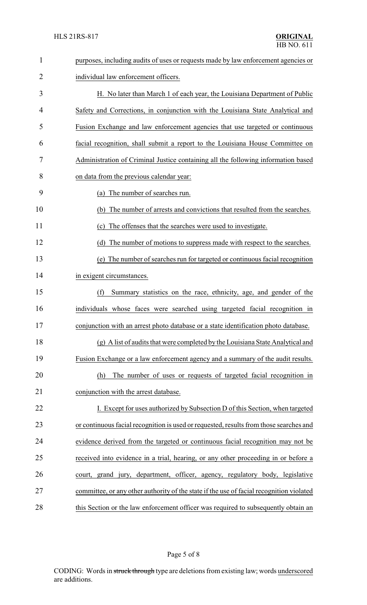| $\mathbf{1}$ | purposes, including audits of uses or requests made by law enforcement agencies or       |  |  |
|--------------|------------------------------------------------------------------------------------------|--|--|
| 2            | individual law enforcement officers.                                                     |  |  |
| 3            | H. No later than March 1 of each year, the Louisiana Department of Public                |  |  |
| 4            | Safety and Corrections, in conjunction with the Louisiana State Analytical and           |  |  |
| 5            | Fusion Exchange and law enforcement agencies that use targeted or continuous             |  |  |
| 6            | facial recognition, shall submit a report to the Louisiana House Committee on            |  |  |
| 7            | Administration of Criminal Justice containing all the following information based        |  |  |
| 8            | on data from the previous calendar year:                                                 |  |  |
| 9            | (a) The number of searches run.                                                          |  |  |
| 10           | The number of arrests and convictions that resulted from the searches.<br>(b)            |  |  |
| 11           | The offenses that the searches were used to investigate.<br>(c)                          |  |  |
| 12           | (d) The number of motions to suppress made with respect to the searches.                 |  |  |
| 13           | (e) The number of searches run for targeted or continuous facial recognition             |  |  |
| 14           | in exigent circumstances.                                                                |  |  |
| 15           | Summary statistics on the race, ethnicity, age, and gender of the<br>(f)                 |  |  |
| 16           | individuals whose faces were searched using targeted facial recognition in               |  |  |
| 17           | conjunction with an arrest photo database or a state identification photo database.      |  |  |
| 18           | (g) A list of audits that were completed by the Louisiana State Analytical and           |  |  |
| 19           | Fusion Exchange or a law enforcement agency and a summary of the audit results.          |  |  |
| 20           | The number of uses or requests of targeted facial recognition in<br>(h)                  |  |  |
| 21           | conjunction with the arrest database.                                                    |  |  |
| 22           | I. Except for uses authorized by Subsection D of this Section, when targeted             |  |  |
| 23           | or continuous facial recognition is used or requested, results from those searches and   |  |  |
| 24           | evidence derived from the targeted or continuous facial recognition may not be           |  |  |
| 25           | received into evidence in a trial, hearing, or any other proceeding in or before a       |  |  |
| 26           | court, grand jury, department, officer, agency, regulatory body, legislative             |  |  |
| 27           | committee, or any other authority of the state if the use of facial recognition violated |  |  |
| 28           | this Section or the law enforcement officer was required to subsequently obtain an       |  |  |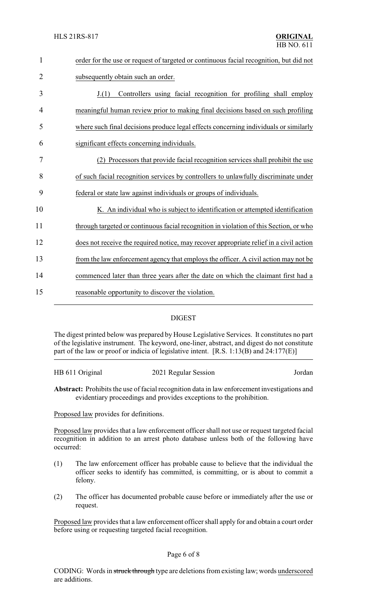| $\mathbf{1}$   | order for the use or request of targeted or continuous facial recognition, but did not |  |
|----------------|----------------------------------------------------------------------------------------|--|
| $\overline{2}$ | subsequently obtain such an order.                                                     |  |
| 3              | Controllers using facial recognition for profiling shall employ<br>J(1)                |  |
| 4              | meaningful human review prior to making final decisions based on such profiling        |  |
| 5              | where such final decisions produce legal effects concerning individuals or similarly   |  |
| 6              | significant effects concerning individuals.                                            |  |
| 7              | (2) Processors that provide facial recognition services shall prohibit the use         |  |
| 8              | of such facial recognition services by controllers to unlawfully discriminate under    |  |
| 9              | federal or state law against individuals or groups of individuals.                     |  |
| 10             | K. An individual who is subject to identification or attempted identification          |  |
| 11             | through targeted or continuous facial recognition in violation of this Section, or who |  |
| 12             | does not receive the required notice, may recover appropriate relief in a civil action |  |
| 13             | from the law enforcement agency that employs the officer. A civil action may not be    |  |
| 14             | commenced later than three years after the date on which the claimant first had a      |  |
| 15             | reasonable opportunity to discover the violation.                                      |  |
|                |                                                                                        |  |

## DIGEST

The digest printed below was prepared by House Legislative Services. It constitutes no part of the legislative instrument. The keyword, one-liner, abstract, and digest do not constitute part of the law or proof or indicia of legislative intent. [R.S. 1:13(B) and 24:177(E)]

| HB 611 Original | 2021 Regular Session | Jordan |
|-----------------|----------------------|--------|
|                 |                      |        |

**Abstract:** Prohibits the use of facial recognition data in law enforcement investigations and evidentiary proceedings and provides exceptions to the prohibition.

Proposed law provides for definitions.

Proposed law provides that a law enforcement officer shall not use or request targeted facial recognition in addition to an arrest photo database unless both of the following have occurred:

- (1) The law enforcement officer has probable cause to believe that the individual the officer seeks to identify has committed, is committing, or is about to commit a felony.
- (2) The officer has documented probable cause before or immediately after the use or request.

Proposed law provides that a law enforcement officer shall apply for and obtain a court order before using or requesting targeted facial recognition.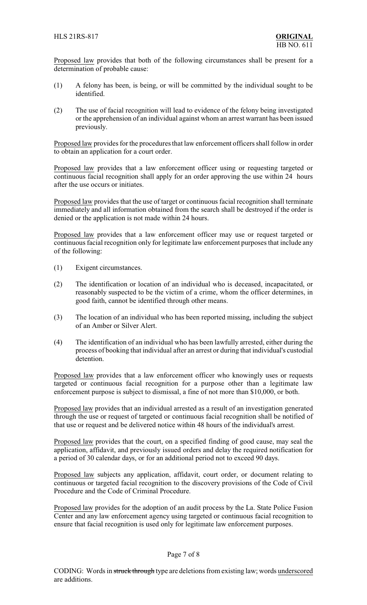Proposed law provides that both of the following circumstances shall be present for a determination of probable cause:

- (1) A felony has been, is being, or will be committed by the individual sought to be identified.
- (2) The use of facial recognition will lead to evidence of the felony being investigated or the apprehension of an individual against whom an arrest warrant has been issued previously.

Proposed law provides for the procedures that law enforcement officers shall follow in order to obtain an application for a court order.

Proposed law provides that a law enforcement officer using or requesting targeted or continuous facial recognition shall apply for an order approving the use within 24 hours after the use occurs or initiates.

Proposed law provides that the use of target or continuous facial recognition shall terminate immediately and all information obtained from the search shall be destroyed if the order is denied or the application is not made within 24 hours.

Proposed law provides that a law enforcement officer may use or request targeted or continuous facial recognition only for legitimate law enforcement purposes that include any of the following:

- (1) Exigent circumstances.
- (2) The identification or location of an individual who is deceased, incapacitated, or reasonably suspected to be the victim of a crime, whom the officer determines, in good faith, cannot be identified through other means.
- (3) The location of an individual who has been reported missing, including the subject of an Amber or Silver Alert.
- (4) The identification of an individual who has been lawfully arrested, either during the process of booking that individual after an arrest or during that individual's custodial detention.

Proposed law provides that a law enforcement officer who knowingly uses or requests targeted or continuous facial recognition for a purpose other than a legitimate law enforcement purpose is subject to dismissal, a fine of not more than \$10,000, or both.

Proposed law provides that an individual arrested as a result of an investigation generated through the use or request of targeted or continuous facial recognition shall be notified of that use or request and be delivered notice within 48 hours of the individual's arrest.

Proposed law provides that the court, on a specified finding of good cause, may seal the application, affidavit, and previously issued orders and delay the required notification for a period of 30 calendar days, or for an additional period not to exceed 90 days.

Proposed law subjects any application, affidavit, court order, or document relating to continuous or targeted facial recognition to the discovery provisions of the Code of Civil Procedure and the Code of Criminal Procedure.

Proposed law provides for the adoption of an audit process by the La. State Police Fusion Center and any law enforcement agency using targeted or continuous facial recognition to ensure that facial recognition is used only for legitimate law enforcement purposes.